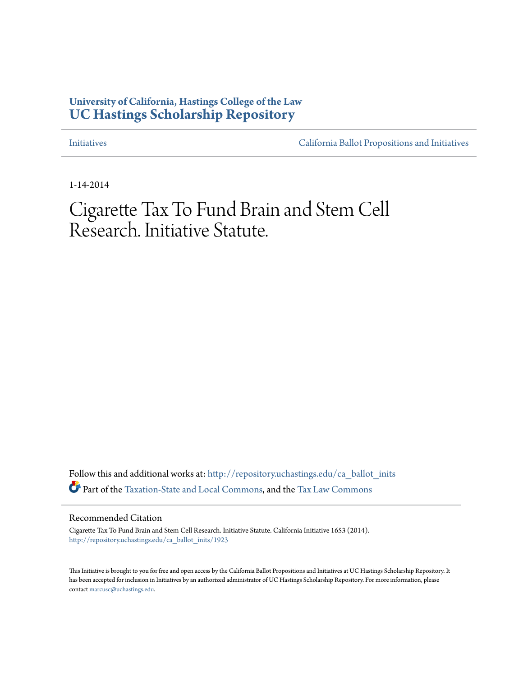### **University of California, Hastings College of the Law [UC Hastings Scholarship Repository](http://repository.uchastings.edu?utm_source=repository.uchastings.edu%2Fca_ballot_inits%2F1923&utm_medium=PDF&utm_campaign=PDFCoverPages)**

[Initiatives](http://repository.uchastings.edu/ca_ballot_inits?utm_source=repository.uchastings.edu%2Fca_ballot_inits%2F1923&utm_medium=PDF&utm_campaign=PDFCoverPages) [California Ballot Propositions and Initiatives](http://repository.uchastings.edu/ca_ballots?utm_source=repository.uchastings.edu%2Fca_ballot_inits%2F1923&utm_medium=PDF&utm_campaign=PDFCoverPages)

1-14-2014

## Cigarette Tax To Fund Brain and Stem Cell Research. Initiative Statute.

Follow this and additional works at: [http://repository.uchastings.edu/ca\\_ballot\\_inits](http://repository.uchastings.edu/ca_ballot_inits?utm_source=repository.uchastings.edu%2Fca_ballot_inits%2F1923&utm_medium=PDF&utm_campaign=PDFCoverPages) Part of the [Taxation-State and Local Commons,](http://network.bepress.com/hgg/discipline/882?utm_source=repository.uchastings.edu%2Fca_ballot_inits%2F1923&utm_medium=PDF&utm_campaign=PDFCoverPages) and the [Tax Law Commons](http://network.bepress.com/hgg/discipline/898?utm_source=repository.uchastings.edu%2Fca_ballot_inits%2F1923&utm_medium=PDF&utm_campaign=PDFCoverPages)

#### Recommended Citation

Cigarette Tax To Fund Brain and Stem Cell Research. Initiative Statute. California Initiative 1653 (2014). [http://repository.uchastings.edu/ca\\_ballot\\_inits/1923](http://repository.uchastings.edu/ca_ballot_inits/1923?utm_source=repository.uchastings.edu%2Fca_ballot_inits%2F1923&utm_medium=PDF&utm_campaign=PDFCoverPages)

This Initiative is brought to you for free and open access by the California Ballot Propositions and Initiatives at UC Hastings Scholarship Repository. It has been accepted for inclusion in Initiatives by an authorized administrator of UC Hastings Scholarship Repository. For more information, please contact [marcusc@uchastings.edu](mailto:marcusc@uchastings.edu).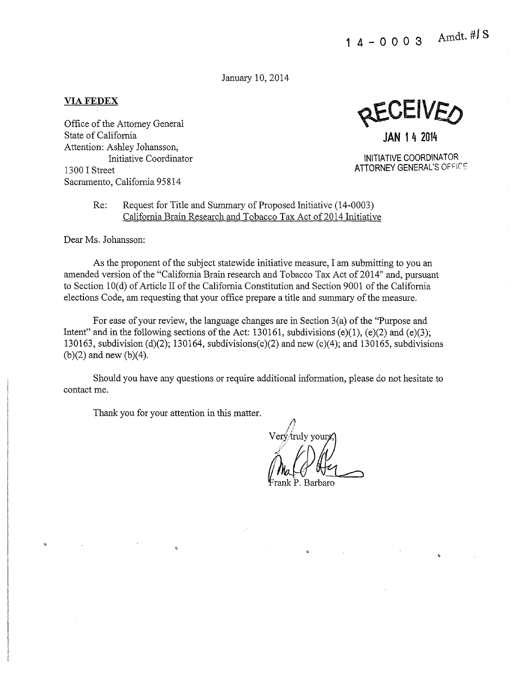January 10, 2014

#### **VIAFEDEX**

Office of the Attorney General State of California Attention: Ashley Johansson, Initiative Coordinator 13 00 I Street Sacramento, California 95814

 $J$ EIV $E\prime$ 

**JAN 1 4 2014** 

INITIATIVE COORDINATOR **ATTORNEY** GENERAL'S OFF!C'F

#### Re: Request for Title and Summary of Proposed Initiative (14-0003) California Brain Research and Tobacco Tax Act of 2014 Initiative

Dear Ms. Johansson:

 $\eta$ 

As the proponent of the subject statewide initiative measure, I am submitting to you an amended version of the "California Brain research and Tobacco Tax Act of 2014" and, pursuant to Section 10(d) of Article II of the California Constitution and Section 9001 of the California elections Code, am requesting that your office prepare a title and summary of the measure.

For ease of your review, the language changes are in Section 3(a) of the "Purpose and Intent" and in the following sections of the Act: 130161, subdivisions (e)(1), (e)(2) and (e)(3); 130163, subdivision (d)(2); 130164, subdivisions(c)(2) and new (c)(4); and 130165, subdivisions (b)(2) and new (b)(4).

Should you have any questions or require additional information, please do not hesitate to contact me.

Thank you for your attention in this matter.

 $\hat{\mathbf{x}}$ 

 $\bigwedge$ I .; truly yours) (Mul ()

arbaro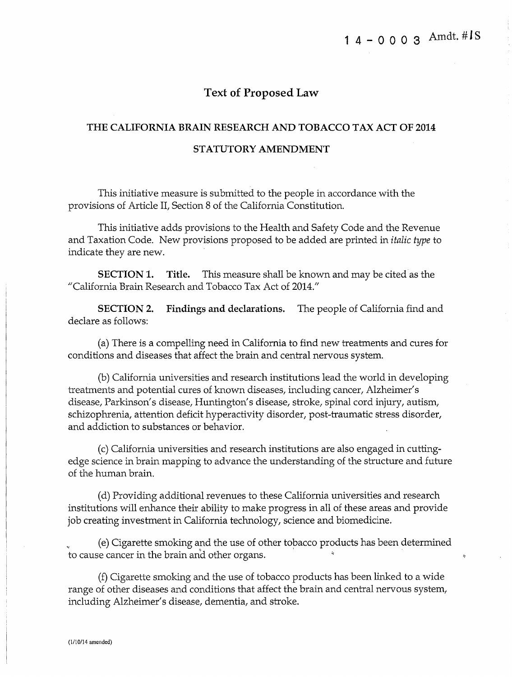#### **Text of Proposed Law**

# **THE CALIFORNIA BRAIN RESEARCH AND TOBACCO TAX ACT OF 2014**

#### **STATUTORY AMENDMENT**

This initiative measure is submitted to the people in accordance with the provisions of Article II, Section 8 of the California Constitution.

This initiative adds provisions to the Health and Safety Code and the Revenue and Taxation Code. New provisions proposed to be added are printed in *italic type* to indicate they are new.

**SECTION 1. Title.** This measure shall be known and may be cited as the "California Brain Research and Tobacco Tax Act of 2014."

**SECTION 2. Findings and declarations.** The people of California find and declare as follows:

(a) There is a compelling need in California to find new treatments and cures for conditions and diseases that affect the brain and central nervous system.

(b) California universities and research institutions lead the world in developing treatments and potential cures of known diseases, including cancer, Alzheimer's disease, Parkinson's disease, Huntington's disease, stroke, spinal cord injury, autism, schizophrenia, attention deficit hyperactivity disorder, post-traumatic stress disorder, and addiction to substances or behavior.

(c) California universities and research institutions are also engaged in cuttingedge science in brain mapping to advance the understanding of the structure and future of the human brain.

(d) Providing additional revenues to these California universities and research institutions will enhance their ability to make progress in all of these areas and provide job creating investment in California technology, science and biomedicine.

<sup>~</sup>(e) Cigarette smoking and the use of other tobacco products has been determined to cause cancer in the brain and other organs. .

(f) Cigarette smoking and the use of tobacco products has been linked to a wide range of other diseases and conditions that affect the brain and central nervous system, including Alzheimer's disease, dementia, and stroke.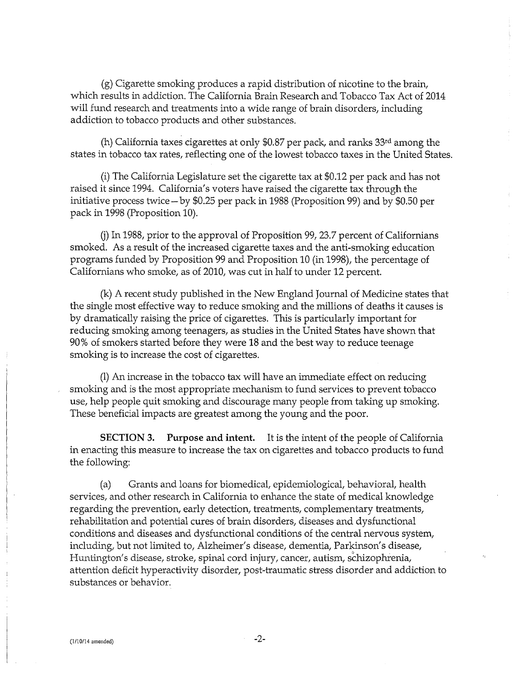(g) Cigarette smoking produces a rapid distribution of nicotine to the brain, which results in addiction. The California Brain Research and Tobacco Tax Act of 2014 will fund research and treatments into a wide range of brain disorders, including addiction to tobacco products and other substances.

(h) California taxes cigarettes at only \$0.87 per pack, and ranks  $33<sup>rd</sup>$  among the states in tobacco tax rates, reflecting one of the lowest tobacco taxes in the United States.

(i) The California Legislature set the cigarette tax at \$0.12 per pack and has not raised it since 1994. California's voters have raised the cigarette tax through the initiative process twice-by \$0.25 per pack in 1988 (Proposition 99) and by \$0.50 per pack in 1998 (Proposition 10).

(j) In 1988, prior to the approval of Proposition 99, 23.7 percent of Californians smoked. As a result of the increased cigarette taxes and the anti-smoking education programs funded by Proposition 99 and Proposition 10 (in 1998), the percentage of Californians who smoke, as of 2010, was cut in half to under 12 percent.

(k) A recent study published in the New England Journal of Medicine states that the single most effective way to reduce smoking and the millions of deaths it causes is by dramatically raising the price of cigarettes. This is particularly important for reducing smoking among teenagers, as studies in the United States have shown that 90% of smokers started before they were 18 and the best way to reduce teenage smoking is to increase the cost of cigarettes.

(1) An increase in the tobacco tax will have an immediate effect on reducing smoking and is the most appropriate mechanism to fund services to prevent tobacco use, help people quit smoking and discourage many people from taking up smoking. These beneficial impacts are greatest among the young and the poor.

**SECTION 3. Purpose and intent.** It is the intent of the people of California in enacting this measure to increase the tax on cigarettes and tobacco products to fund the following:

(a) Grants and loans for biomedical, epidemiological, behavioral, health services, and other research in California to enhance the state of medical knowledge regarding the prevention, early detection, treatments, complementary treatments, rehabilitation and potential cures of brain disorders, diseases and dysfunctional conditions and diseases and dysfunctional conditions of the central nervous system, including, but not limited to, Alzheimer's disease, dementia, Parkinson's disease, Huntington's disease, stroke, spinal cord injury, cancer, autism, schizophrenia, attention deficit hyperactivity disorder, post-traumatic stress disorder and addiction to substances or behavior.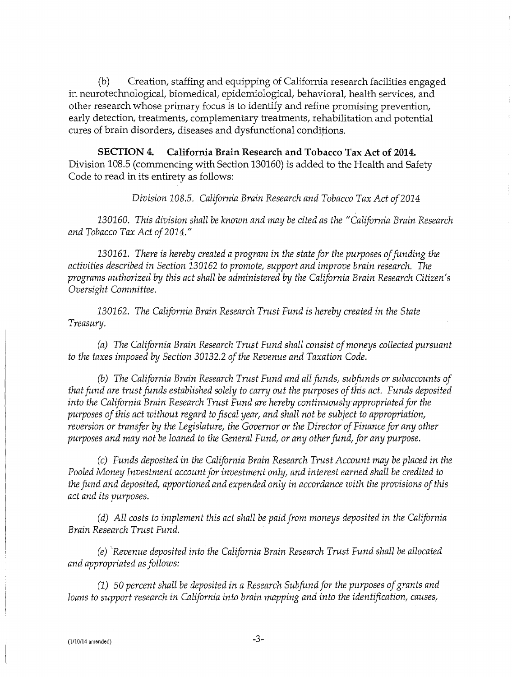(b) Creation, staffing and equipping of California research facilities engaged in neurotechnological, biomedical, epidemiological, behavioral, health services, and other research whose primary focus is to identify and refine promising prevention, early detection, treatments, complementary treatments, rehabilitation and potential cures of brain disorders, diseases and dysfunctional conditions.

**SECTION 4. California Brain Research and Tobacco Tax Act of 2014.**  Division 108.5 (commencing with Section 130160) is added to the Health and Safety Code to read in its entirety as follows:

*Division 108.5. California Brain Research and Tobacco Tax Act of2014* 

130160. *This division shall be known and may be cited as the "California Brain Research and Tobacco Tax Act of2014."* 

130161. *There is hereby created a program in the state for the purposes of funding the activities described in Section* 130162 *to promote, support and improve brain research. The programs authorized by this act shall be administered by the California Brain Research Citizen's Oversight Committee.* 

130162. *The California Brain Research Trust Fund is hereby created in the State Treasury.* 

*(a) The California Brain Research Trust Fund shall consist of moneys collected pursuant to the taxes imposed by Section* 30132.2 *of the Revenue and Taxation Code.* 

(b) *The California Brain Research Trust Fund and all funds, subfunds or subaccounts of that fund are trust funds established solely to carry out the purposes of this act. Funds deposited into the California Brain Research Trust Fund are hereby continuously·appropriated for the purposes of this act without regard to fiscal year, and shall not be subject to appropriation, reversion or transfer by the Legislature, the Governor or the Director of Finance for any other purposes and may not be loaned to the General Fund, or any other fund, for any purpose.* 

*(c) Funds deposited in the California Brain Research Trust Account may be placed in the Pooled Money Investment account for investment only, and interest earned shall be credited to the fund and deposited, apportioned and expended only in accordance with the provisions of this act and its purposes.* 

*(d) All costs to implement this act shall be paid from moneys deposited in the California Brain Research Trust Fund.* 

*(e) Revenue deposited into the California Brain Research Trust Fund shall be allocated and appropriated as follows:* 

*(1) 50 percent shall be deposited in a Research Subfund for the purposes of grants and loans to support research in California into brain mapping and into the identification, causes,*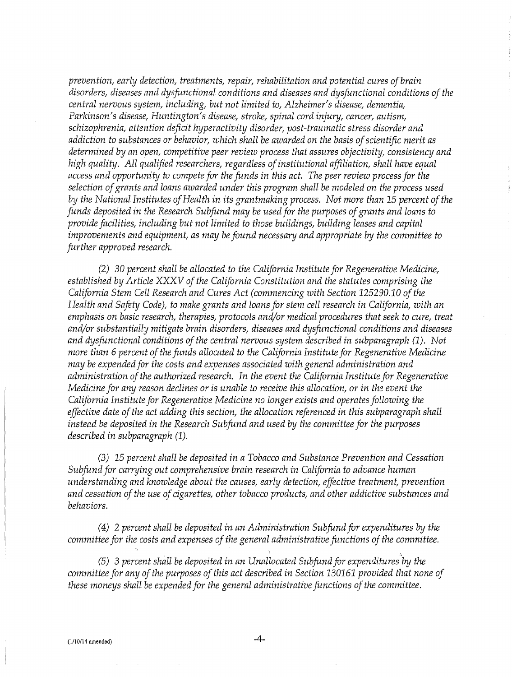*prevention, early detection, treatments, repair, rehabilitation and potential cures ofbrain disorders, diseases and dysfunctional conditions and diseases and dysfunctional conditions of the central nervous system, including, but not limited to, Alzheimer's disease, dementia, Parkinson's disease, Huntington's disease, stroke, spinal cord injury, cancer, autism, schizophrenia, attention deficit hyperactivity disorder, post-traumatic stress disorder and*  addiction to substances or behavior, which shall be awarded on the basis of scientific merit as *determined by an open, competitive peer review process that assures objectivity, consistency and high quality. All qualified researchers, regardless of institutional affiliation, shall have equal access and opportunity to compete for the funds in this act. The peer review process for the selection of grants and loans awarded under this program shall be modeled on the process used by the National Institutes of Health in its grantmaking process. Not more than 15 percent of the funds deposited in the Research Subfund may be used for the purposes of grants and loans to provide facilities, including but not limited to those buildings, building leases and capital improvements and equipment, as may be found necessary and appropriate by the committee to further approved research.* 

*(2)* 30 *percent shall be allocated to the California Institute for Regenerative Medicine, established by Article XXXV of the California Constitution and the statutes comprising the California Stem Cell Research and Cures Act (commencing with Section 125290.10 of the Health and Safety Code), to make grants and loans for stem cell research in California, with an emphasis on basic research, therapies, protocols and/or medical procedures that seek to cure, treat and/or substantially mitigate brain disorders, diseases and dysfunctional conditions and diseases and dysfunctional conditions of the central nervous system described in subparagraph (1). Not more than 6 percent of the funds allocated to the California Institute for Regenerative Medicine may be expended for the costs and expenses associated with general administration and administration of the authorized research. In the event the California Institute for Regenerative Medicine for any reason declines or is unable to receive this allocation, or in the event the California Institute for Regenerative Medicine no longer exists and operates following the effective date of the act adding this section, the allocation referenced in this subparagraph shall instead be deposited in the Research Subfund and used by the committee for the purposes described in subparagraph (1).* 

*(3) 15 percent shall be deposited in a Tobacco and Substance Prevention and Cessation Subfund for carrying out comprehensive brain research in California to advance human understanding and knowledge about the causes, early detection, effective treatment, prevention and cessation of the use of cigarettes, other tobacco products, and other addictive substances and behaviors.* 

*( 4)* 2 *percent shall be deposited in an Administration Subfund for expenditures by the committee for the costs and expenses of the general administrative functions of the committee.* 

(5) 3 percent shall be deposited in an Unallocated Subfund for expenditures by the *committee for any of the purposes of this act described in Section 130161 provided that none of these moneys shall be expended for the general administrative functions of the committee.* 

<,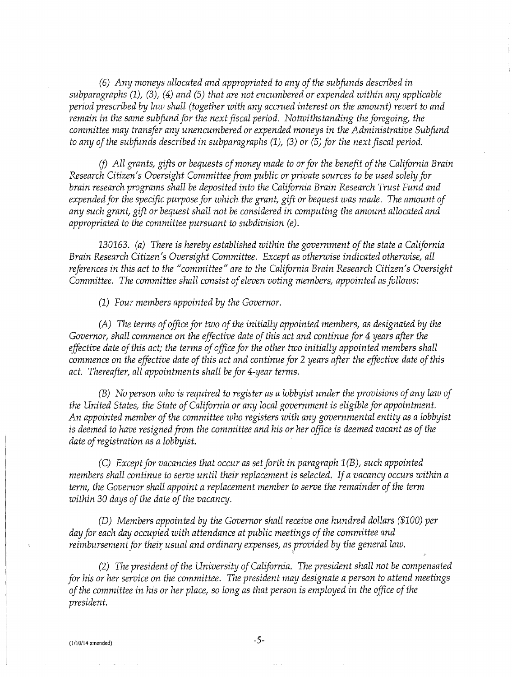*(6) Any moneys allocated and appropriated to any of the subfunds described in subparagraphs (1), (3), (4) and (5) that are not encumbered or expended within any applicable period prescribed by law shall (together with any accrued interest on the amount) revert to and remain in the same subfund for the next fiscal period. Notwithstanding the foregoing, the committee may transfer any unencumbered or expended moneys in the Administrative Subfund to any of the subfunds described in subparagraphs (1), (3) or (5) for the next fiscal period.* 

*(j) All grants, gifts or bequests of money made to or for the benefit of the California Brain Research Citizen's Oversight Committee from public or private sources to be used solely for brain research programs shall be deposited into the California Brain Research Trust Fund and expended for the specific purpose for which the grant, gift or bequest was made. The amount of any such grant, gift or bequest shall not be considered in computing the amount allocated and appropriated to the committee pursuant to subdivision (e).* 

*130163. (a) There is hereby established within the government of the state a California Brain Research Citizen's Oversight Committee. Except as otherwise indicated otherwise, all references in this act to the "committee" are to the California Brain Research Citizen's Oversight Committee. The committee shall consist of eleven voting members, appointed as follows:* 

*(1) Four members appointed by the Governor.* 

*(A) The terms of office for two of the initially appointed members, as designated by the Governor, shall commence on the effective date of this act and continue for 4 years after the effective date of this act; the terms of office for the other two initially appointed members shall commence on the effective date of this act and continue for* 2 *years after the effective date of this act. Thereafter, all appointments shall be for 4-year terms.* 

*(B) No person who is required to register as a lobbyist under the provisions of any law of the United States, the State of California or any local government is eligible for appointment. An appointed member of the committee who registers with any governmental entity as a lobbyist is deemed to have resigned from the committee and his or her office is deemed vacant as of the date of registration as a lobbyist.* 

*(C) Except for vacancies that occur as set forth in paragraph 1 (B), such appointed members shall continue to serve until their replacement is selected. If a vacancy occurs within a term, the Governor shall appoint a replacement member to serve the remainder of the term within 30 days of the date of the vacancy.* 

*(D) Members appointed by the Governor shall receive one hundred dollars (\$100) per day for each day occupied with attendance at public meetings of the committee and reimbursement for their usual and ordinary expenses, as provided by the general law.* 

*(2) The president of the University of California. The president shall not be compensated for his or her service on the committee. The president may designate a person to attend meetings of the committee in his or her place, so long as that person is employed in the office of the president.*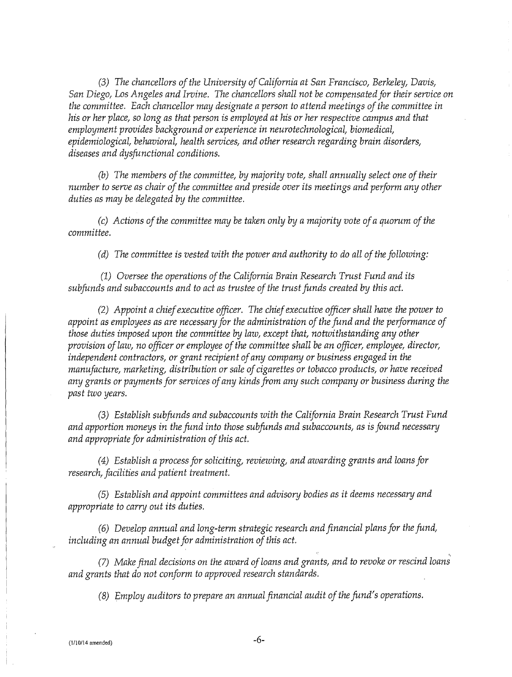*(3) The chancellors of the University of California at San Francisco, Berkeley, Davis, San Diego, Los Angeles and Irvine. The chancellors shall not be compensated for their service on the committee. Each chancellor may designate a person to attend meetings of the committee in his or her place, so long as that person is employed at his or her respective campus and that employment provides background or experience in neurotechnological, biomedical, epidemiological, behavioral, health services, and other research regarding brain disorders, diseases and dysfunctional conditions.* 

(b) *The members of the committee, by majority vote, shall annually select one of their number to serve as chair of the committee and preside over its meetings and perform any other duties as may be delegated by the committee.* 

*(c) Actions of the committee may be taken only by a majority vote of a quorum of the committee.* 

*(d) The committee is vested with the power and authority to do all of the following:* 

*(1) Oversee the operations of the California Brain Research Trust Fund and its subfunds and subaccounts and to act as trustee of the trust funds created by this act.* 

*(2) Appoint a chief executive officer. The chief executive officer shall have the power to appoint as employees as are necessary for the administration of the fund and the performance of those duties imposed upon the committee by law, except that, notwithstanding any other provision of law, no officer or employee of the committee shall be an officer, employee, director, independent contractors, or grant recipient of any company or business engaged in the manufacture, marketing, distribution or sale of cigarettes or tobacco products, or have received any grants or payments for services of any kinds from any such company or business during the past two years.* 

*(3) Establish subfunds and subaccounts with the California Brain Research Trust Fund and apportion moneys in the fund into those subfunds and subaccounts, as is found necessary and appropriate for administration of this act.* 

*(4) Establish a process for soliciting, reviewing, and awarding grants and loans for research, facilities and patient treatment.* 

*(5) Establish and appoint committees and advisory bodies as it deems necessary and appropriate to carry out its duties.* 

*(6) Develop annual and long-term strategic research and financial plans for the fund, including an annual budget for administration of this act.* 

*(7) Make final decisions on the award of loans and grants, and to revoke or rescind loans and grants that do not conform to approved research standards.* 

*(8) Employ auditors to prepare an annual financial audit of the fund's operations.*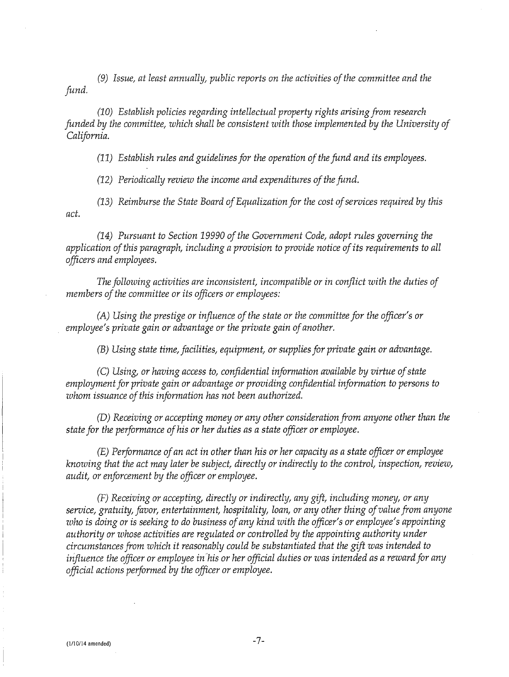*(9) Issue, at least annually, public reports on the activities of the committee and the fund.* 

*(10) Establish policies regarding intellectual property rights arising from research funded by the committee, which shall be consistent with those implemented by the University of California.* 

*(11) Establish rules and guidelines for the operation of the fund and its employees.* 

*(12) Periodically review the income and expenditures of the fund.* 

*(13) Reimburse the State Board of Equalization for the cost of services required by this act.* 

*(14) Pursuant to Section 19990 of the Government Code, adopt rules governing the application of this paragraph, including a provision to provide notice of its requirements to all officers and employees.* 

*The following activities are inconsistent, incompatible or in conflict with the duties of members of the committee or its officers or employees:* 

*(A) Using the prestige or influence of the state or the committee for the officer's or employee's private gain or advantage or the private gain of another.* 

*(B) Using state time, facilities, equipment, or supplies for private gain or advantage.* 

*(C) Using, or having access to, confidential information available by virtue of state employment for private gain or advantage or providing confidential information to persons to whom issuance of this information has not been authorized.* 

*(D) Receiving or accepting money or any other consideration from anyone other than the state for the performance of his or her duties as a state officer or employee.* 

*(E) Performance of an act in other than his or her capacity as a state officer or employee knowing that the act may later be subject, directly or indirectly to the control, inspection, review, audit, or enforcement by the officer or employee.* 

*(F) Receiving or accepting, directly or indirectly, any gift, including money, or any service, gratuity, favor, entertainment, hospitality, loan, or any other thing of value from anyone ·who is doing or is seeking to do business of any kind with the officer's or employee's appointing*  authority or whose activities are regulated or controlled by the appointing authority under *circumstances from which it reasonably could be substantiated that the gift was intended to influence the officer or employee in his or her official duties or was intended as a reward for any official actions performed by the officer or employee.*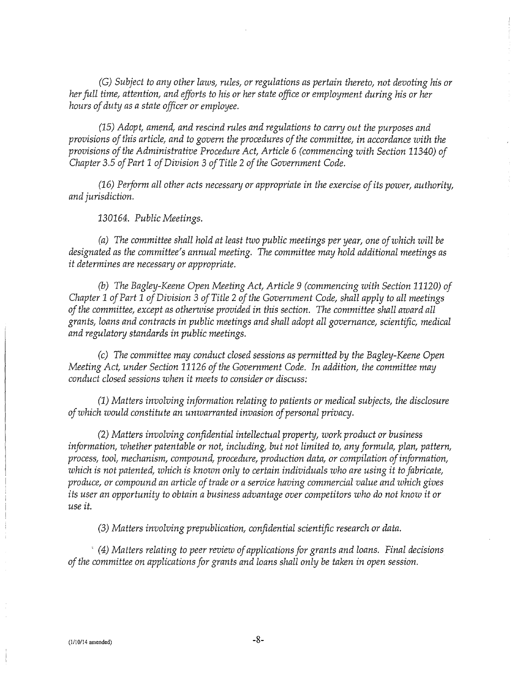*(G) Subject to any other laws, rules, or regulations as pertain thereto, not devoting his or her full time, attention, and efforts to his or her state office or employment during his or her hours of duty as a state officer or employee.* 

*(15) Adopt, amend, and rescind rules and regulations to carry out the purposes and provisions of this article, and to govern the procedures of the committee, in accordance ·with the provisions of the Administrative Procedure Act, Article* 6 *(commencing with Section 11340) of Chapter* 3.5 *of Part 1 of Division* 3 *of Title* 2 *of the Government Code.* 

*(16) Perform all other acts necessary or appropriate in the exercise of its power, authority, and jurisdiction.* 

*130164. Public Meetings.* 

*(a) The committee shall hold at least two public meetings per year, one of which will be designated as the committee's annual meeting. The committee may hold additional meetings as it determines are necessary or appropriate.* 

(b) *The Bagley-Keene Open Meeting Act, Article 9 (commencing with Section 11120) of Chapter 1 of Part 1 of Division* 3 *of Title* 2 *of the Government Code, shall apply to all meetings of the committee, except as otherwise provided in this section. The committee shall award all grants, loans and contracts in public meetings and shall adopt all governance, scientific, medical and regulatory standards in public meetings.* 

*(c) The committee may conduct closed sessions as permitted by the Bagley-Keene Open Meeting Act, under Section 11126 of the Government Code. In addition, the committee may conduct closed sessions when it meets to consider or discuss:* 

*(1) Matters involving information relating to patients or medical subjects, the disclosure of which would constitute an unwarranted invasion of personal privacy.* 

*(2) Matters involving confidential intellectual property, work product or business information, whether patentable or not, including, but not limited to, any formula, plan, pattern, process, tool, mechanism, compound, procedure, production data, or compilation of information, which is not patented, which is known only to certain individuals who are using it to fabricate, produce, or compound an article of trade or a service having commercial value and which gives its user an opportunity to obtain a business advantage over competitors who do not know it or use it.* 

*(3) Matters involving prepublication, confidential scientific research or data.* 

' *(4) Matters relating to peer review of applications for grants and loans. Final decisions of the committee on applications for grants and loans shall only be taken in open session.*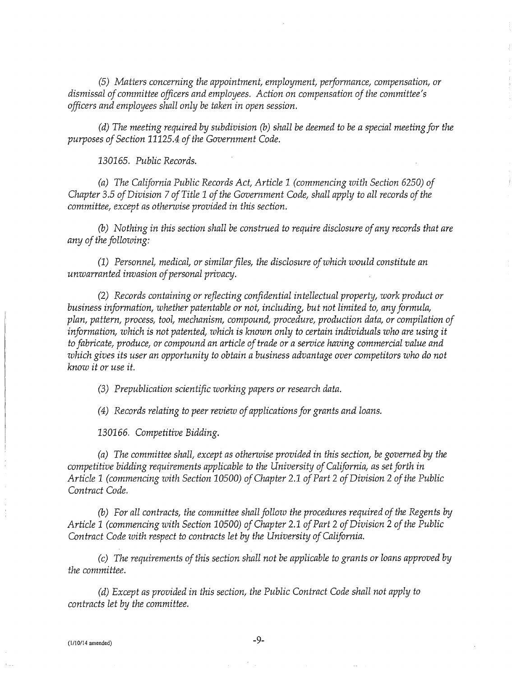*(5) Matters concerning the appointment, employment, performance, compensation, or dismissal of committee officers and employees. Action on compensation of the committee's officers and employees shall only be taken in open session.* 

*(d) The meeting required by subdivision* (b) *shall be deemed to be a special meeting for the purposes of Section 11125.4 of the Government Code.* 

*130165. Public Records.* 

*(a) The California Public Records Act, Article 1 (commencing with Section 6250) of Chapter 3.5 of Division* 7 *of Title 1 of the Government Code, shall apply to all records of the committee, except as otherwise provided in this section.* 

(b) *Nothing in this section shall be construed to require disclosure of any records that are any of the following:* 

(1) *Personnel, medical, or similar files, the disclosure of which would constitute an unwarranted invasion of personal privacy.* 

*(2) Records containing or reflecting confidential intellectual property, work product or business information, whether patentable or not, including, but not limited to, any formula, plan, pattern, process, tool, mechanism, compound, procedure, production data, or compilation of information, which is not patented, which is known only to certain individuals who are using it to fabricate, produce, or compound an article of trade or a service having commercial value and which gives its user an opportunity to obtain a business advantage over competitors who do not know it or use it.* 

*(3) Prepublication scientific working papers or research data.* 

*(4) Records relating to peer review of applications for grants and loans.* 

*130166. Competitive Bidding.* 

*(a) The committee shall, except as otherwise provided in this section, be governed by the competitive bidding requirements applicable to the University of California, as set forth in Article 1 (commencing with Section 10500) of Chapter 2.1 of Part 2 of Division 2 of the Public Contract Code.* 

(b) *For all contracts, the committee shall follow the procedures required of the Regents by Article 1 (commencing with Section 10500) of Chapter 2.1 of Part 2 of Division 2 of the Public Contract Code with respect to contracts let by the University of California.* 

*(c) The requirements of this section shall not be applicable to grants or loans approved by the committee.* 

*(d) Except as provided in this section, the Public Contract Code shall not apply to contracts let by the committee.*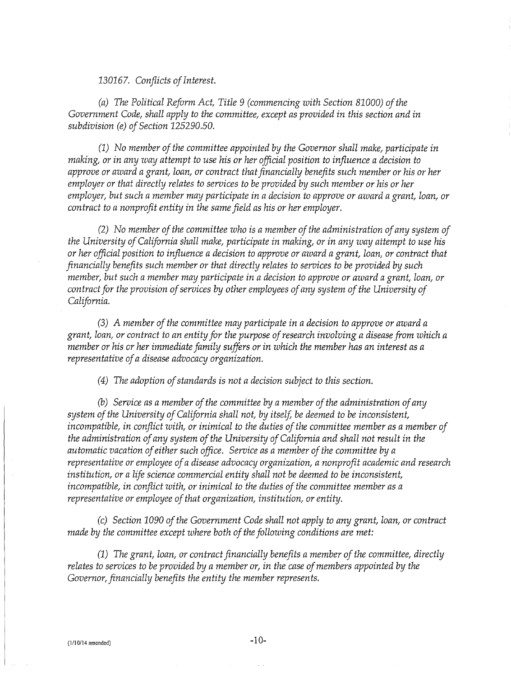130167. *Conflicts of Interest.* 

*(a) The Political Reform Act, Title 9 (commencing with Section 81000) of the Government Code, shall apply to the committee, except as provided in this section and in subdivision (e) of Section 125290.50.* 

*(1) No member of the committee appointed by the Governor shall make, participate in making, or in any ·way attempt to use his or her official position to influence a decision to approve or award a grant, loan, or contract that financially benefits such member or his or her employer or that directly relates to services to be provided by such member or his or her employer, but such a member may participate in a decision to approve or award a grant, loan, or contract to a nonprofit entity in the same field as his or her employer.* 

*(2) No member of the committee who is a member of the administration of any system of the University of California shall make, participate in making, or in any way attempt to use his or her official position to influence a decision to approve or award a grant, loan, or contract that financially benefits such member or that directly relates to services to be provided by such member, but such a member may participate in a decision to approve or award a grant, loan, or contract for the provision of services by other employees of any system of the University of California.* 

*(3) A member of the committee may participate in a decision to approve or award a grant, loan, or contract to an entity for the purpose of research involving a disease from which a member or his or her immediate family suffers or in which the member has an interest as a representative of a disease advocacy organization.* 

*( 4) The adoption of standards is not a decision subject to this section.* 

(b) *Service as a member of the committee by a member of the administration of any system of the University of California shall not, by itself, be deemed to be inconsistent, incompatible, in conflict with, or inimical to the duties of the committee member as a member of the administration of any system of the University of California and shall not result in the automatic vacation of either such office. Service as a member of the committee by a representative or employee of a disease advocacy organization, a nonprofit academic and research institution, or a life science commercial entity shall not be deemed to be inconsistent, incompatible, in conflict with, or inimical to the duties of the committee member as a representative or employee of that organization, institution, or entity.* 

*(c) Section 1090 of the Government Code shall not apply to any grant, loan, or contract made by the committee except where both of the following conditions are met:* 

*(1) The grant, loan, or contract financially benefits a member of the committee, directly relates to services to be provided by a member or, in the case of members appointed by the Governor, financially benefits the entity the member represents.*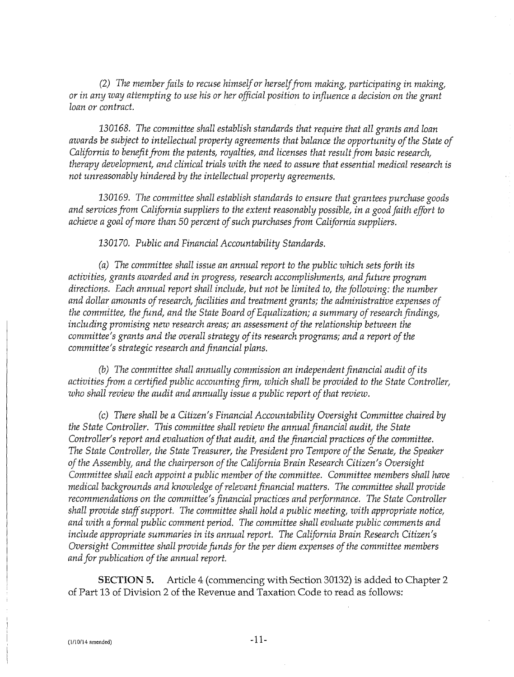*(2) The member fails to recuse himself or herself from making, participating in making, or in any way attempting to use his or her official position to influence a decision on the grant loan or contract.* 

*130168. The committee shall establish standards that require that all grants and loan awards be subject to intellectual property agreements that balance the opportunity of the State of California to benefit from the patents, royalties, and licenses that result from basic research, therapy development, and clinical trials with the need to assure that essential medical research is not unreasonably hindered by the intellectual property agreements.* 

130169. *The committee shall establish standards to ensure that grantees purchase goods and services from California suppliers to the extent reasonably possible, in a good faith effort to achieve a goal of more than 50 percent of such purchases from California suppliers.* 

130170. *Public and Financial Accountability Standards.* 

*(a) The committee shall issue an annual report to the public which sets forth its activities, grants awarded and in progress, research accomplishments, and future program directions. Each annual report shall include, but not be limited to, the following: the number and dollar amounts of research, facilities and treatment grants; the administrative expenses of the committee, the fund, and the State Board of Equalization; a summary of research findings, including promising new research areas; an assessment of the relationship between the committee's grants and the overall strategy of its research programs; and a report of the committee's strategic research and financial plans.* 

(b) *The committee shall annually commission an independent financial audit of its activities from a certified public accounting firm, which shall be provided to the State Controller, who shall review the audit and annually issue a public report of that review.* 

*(c) There shall be a Citizen's Financial Accountability Oversight Committee chaired by the State Controller. This committee shall review the annual financial audit, the State Controller's report and evaluation of that audit, and the financial practices of the committee. The State Controller, the State Treasurer, the President pro Tempore of the Senate, the Speaker of the Assembly, and the chairperson of the California Brain Research Citizen's Oversight Committee shall each appoint a public member of the committee. Committee members shall have medical backgrounds and knowledge of relevant financial matters. The committee shall provide recommendations on the committee's financial practices and performance. The State Controller shall provide staff support. The committee shall hold a public meeting, with appropriate notice, and with a formal public comment period. The committee shall evaluate public comments and include appropriate summaries in its annual report. The California Brain Research Citizen's Oversight Committee shall provide funds for the per diem expenses of the committee members and for publication of the annual report.* 

**SECTION 5.** Article 4 (commencing with Section 30132) is added to Chapter 2 of Part 13 of Division 2 of the Revenue and Taxation Code to read as follows: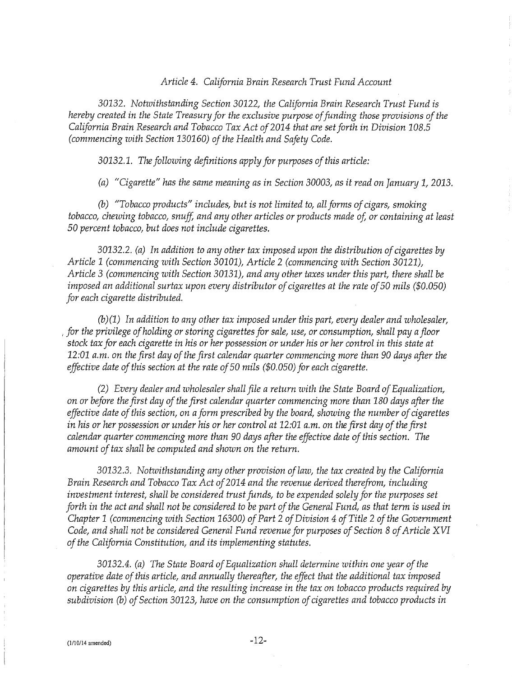#### *Article 4. California Brain Research Trust Fund Account*

30132. *Notwithstanding Section* 30122, *the California Brain Research Trust Fund is hereby created in the State Treasury for the exclusive purpose of funding those provisions of the California Brain Research and Tobacco Tax Act of2014 that are set forth in Division 108.5 (commencing with Section 130160) of the Health and Safety Code.* 

*30132.1. The following definitions apply for purposes of this article:* 

*(a) "Cigarette" has the same meaning as in Section* 30003, *as it read on January 1,* 2013.

*(b) "Tobacco products" includes, but is not limited to, all forms of cigars, smoking tobacco, chewing tobacco, snuff, and any other articles or products made of, or containing at least 50 percent tobacco, but does not include cigarettes.* 

30132.2. *(a) In addition to any other tax imposed upon the distribution of cigarettes by Article 1 (commencing with Section 30101), Article* 2 *(commencing with Section 30121), Article 3 (commencing with Section 30131), and any other taxes under this part, there shall be imposed an additional surtax upon every distributor of cigarettes at the rate of 50 mils (\$0.050) for each cigarette distributed.* 

*(b)(1) In addition to any other tax imposed under this part, every dealer and wholesaler,*  , *for the privilege of holding or storing cigarettes for sale, use, or consumption, shall pay a floor stock tax for each cigarette in his or her possession or under his or her control in this state at 12:01 a.m. on the first day of the first calendar quarter commencing more than* 90 *days after the effective date of this section at the rate of 50 mils (\$0.050) for each cigarette.* 

*(2) Every dealer and wholesaler shall file a return with the State Board of Equalization, on or before the first day of the first calendar quarter commencing more than 180 days after the effective date of this section, on a form prescribed by the board, showing the number of cigarettes in his or her possession or under his or her control at 12:01 a.m. on the first day of the first calendar quarter commencing more than 90 days after the effective date of this section. The amount of tax shall be computed and shown on the return.* 

30132.3. *Notwithstanding any other provision of law, the tax created by the California Brain Research and Tobacco Tax Act of2014 and the revenue derived therefrom, including investment interest, shall be considered trust funds, to be expended solely for the purposes set forth in the act and shall not be considered to be part of the General Fund, as that term is used in Chapter 1 (commencing with Section 16300) of Part* 2 *of Division 4 of Title* 2 *of the Government Code, and shall not be considered General Fund revenue for purposes of Section 8 of Article XVI of the California Constitution, and its implementing statutes.* 

30132.4. *(a) The State Board of Equalization shall determine within one year of the operative date of this article, and annually thereafter, the effect that the additional tax imposed on cigarettes by this article, and the resulting increase in the tax on tobacco products required by subdivision (b) of Section 30123, have on the consumption of cigarettes and tobacco products in*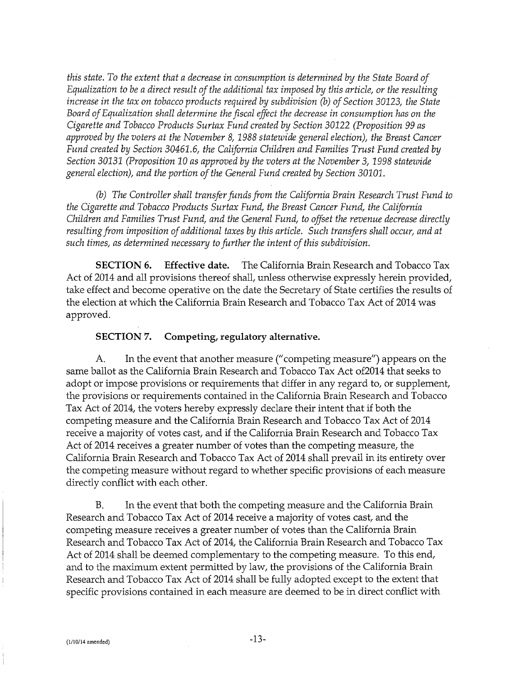*this state. To the extent that a decrease in consumption is determined by the State Board of Equalization to be a direct result of the additional tax imposed by this article, or the resulting increase in the tax on tobacco products required by subdivision* (b) *of Section* 30123, *the State Board of Equalization shall determine the fiscal effect the decrease in consumption has on the Cigarette and Tobacco Products Surtax Fund created by Section* 30122 *(Proposition 99 as approved by the voters at the November 8, 1988 statewide general election), the Breast Cancer Fund created by Section 30461.6, the California Children and Families Trust Fund created by Section* 30131 *(Proposition* 10 *as approved by the voters at the November* 3, *1998 statewide general election), and the portion of the General Fund created by Section 30101.* 

(b) *The Controller shall transfer funds from the California Brain Research Trust Fund to the Cigarette and Tobacco Products Surtax Fund, the Breast Cancer Fund, the California Children and Families Trust Fund, and the General Fund, to offset the revenue decrease directly resulting from imposition of additional taxes by this article. Such transfers shall occur, and at such times, as determined necessary to further the intent of this subdivision.* 

**SECTION 6. Effective date.** The California Brain Research and Tobacco Tax Act of 2014 and all provisions thereof shall, unless otherwise expressly herein provided, take effect and become operative on the date the Secretary of State certifies the results of the election at which the California Brain Research and Tobacco Tax Act of 2014 was approved.

#### **SECTION 7. Competing, regulatory alternative.**

A. In the event that another measure ("competing measure") appears on the same ballot as the California Brain Research and Tobacco Tax Act of2014 that seeks to adopt or impose provisions or requirements that differ in any regard to, or supplement, the provisions or requirements contained in the California Brain Research and Tobacco Tax Act of 2014, the voters hereby expressly declare their intent that if both the competing measure and the California Brain Research and Tobacco Tax Act of 2014 receive a majority of votes cast, and if the California Brain Research and Tobacco Tax Act of 2014 receives a greater number of votes than the competing measure, the California Brain Research and Tobacco Tax Act of 2014 shall prevail in its entirety over the competing measure without regard to whether specific provisions of each measure directly conflict with each other.

B. In the event that both the competing measure and the California Brain Research and Tobacco Tax Act of 2014 receive a majority of votes cast, and the competing measure receives a greater number of votes than the California Brain Research and Tobacco Tax Act of 2014, the California Brain Research and Tobacco Tax Act of 2014 shall be deemed complementary to the competing measure. To this end, and to the maximum extent permitted by law, the provisions of the California Brain Research and Tobacco Tax Act of 2014 shall be fully adopted except to the extent that specific provisions contained in each measure are deemed to be in direct conflict with